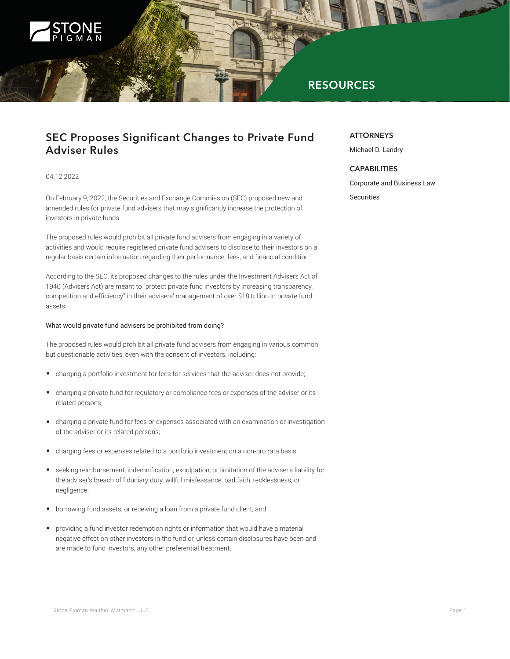

# **RESOURCES**

## **SEC Proposes Significant Changes to Private Fund Adviser Rules**

## 04.12.2022

On February 9, 2022, the Securities and Exchange Commission (SEC) proposed new and amended rules for private fund advisers that may significantly increase the protection of investors in private funds.

The proposed rules would prohibit all private fund advisers from engaging in a variety of activities and would require registered private fund advisers to disclose to their investors on a regular basis certain information regarding their performance, fees, and financial condition.

According to the SEC, its proposed changes to the rules under the Investment Advisers Act of 1940 (Advisers Act) are meant to "protect private fund investors by increasing transparency, competition and efficiency" in their advisers' management of over \$18 trillion in private fund assets.

## What would private fund advisers be prohibited from doing?

The proposed rules would prohibit all private fund advisers from engaging in various common but questionable activities, even with the consent of investors, including:

- charging a portfolio investment for fees for services that the adviser does not provide;
- charging a private fund for regulatory or compliance fees or expenses of the adviser or its related persons;
- charging a private fund for fees or expenses associated with an examination or investigation of the adviser or its related persons;
- charging fees or expenses related to a portfolio investment on a non-pro rata basis;
- seeking reimbursement, indemnification, exculpation, or limitation of the adviser's liability for the adviser's breach of fiduciary duty, willful misfeasance, bad faith, recklessness, or negligence;
- borrowing fund assets, or receiving a loan from a private fund client; and
- providing a fund investor redemption rights or information that would have a material negative effect on other investors in the fund or, unless certain disclosures have been and are made to fund investors, any other preferential treatment.

### **ATTORNEYS**

Michael D. Landry

## **CAPABILITIES**

Corporate and Business Law

Securities